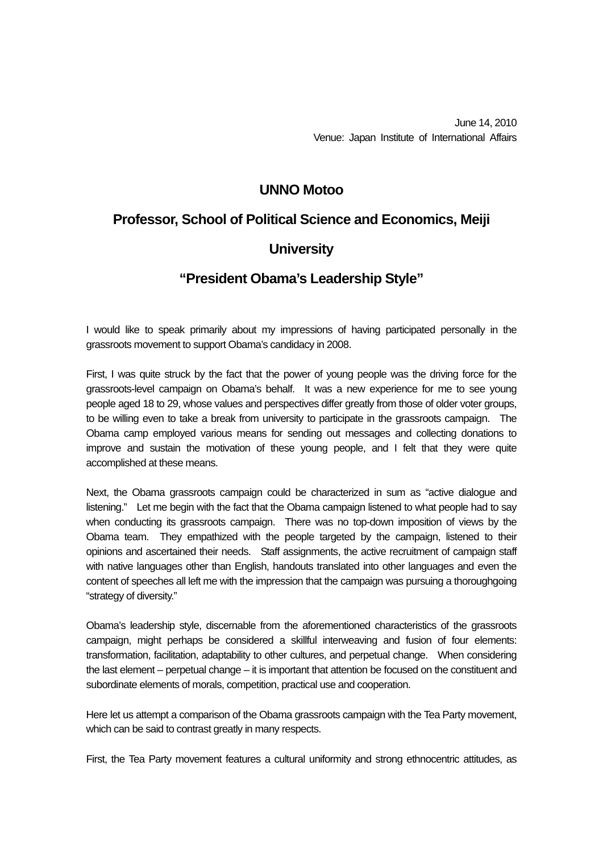## **UNNO Motoo**

## **Professor, School of Political Science and Economics, Meiji**

## **University**

## **"President Obama's Leadership Style"**

I would like to speak primarily about my impressions of having participated personally in the grassroots movement to support Obama's candidacy in 2008.

First, I was quite struck by the fact that the power of young people was the driving force for the grassroots-level campaign on Obama's behalf. It was a new experience for me to see young people aged 18 to 29, whose values and perspectives differ greatly from those of older voter groups, to be willing even to take a break from university to participate in the grassroots campaign. The Obama camp employed various means for sending out messages and collecting donations to improve and sustain the motivation of these young people, and I felt that they were quite accomplished at these means.

Next, the Obama grassroots campaign could be characterized in sum as "active dialogue and listening." Let me begin with the fact that the Obama campaign listened to what people had to say when conducting its grassroots campaign. There was no top-down imposition of views by the Obama team. They empathized with the people targeted by the campaign, listened to their opinions and ascertained their needs. Staff assignments, the active recruitment of campaign staff with native languages other than English, handouts translated into other languages and even the content of speeches all left me with the impression that the campaign was pursuing a thoroughgoing "strategy of diversity."

Obama's leadership style, discernable from the aforementioned characteristics of the grassroots campaign, might perhaps be considered a skillful interweaving and fusion of four elements: transformation, facilitation, adaptability to other cultures, and perpetual change. When considering the last element – perpetual change – it is important that attention be focused on the constituent and subordinate elements of morals, competition, practical use and cooperation.

Here let us attempt a comparison of the Obama grassroots campaign with the Tea Party movement, which can be said to contrast greatly in many respects.

First, the Tea Party movement features a cultural uniformity and strong ethnocentric attitudes, as